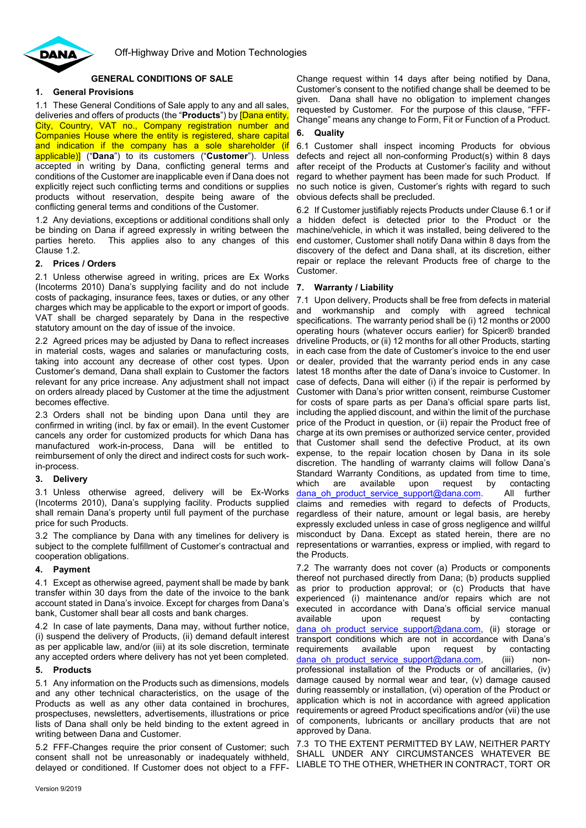

# **GENERAL CONDITIONS OF SALE**

# **1. General Provisions**

1.1 These General Conditions of Sale apply to any and all sales, deliveries and offers of products (the "**Products**") by [Dana entity, City, Country, VAT no., Company registration number and Companies House where the entity is registered, share capital and indication if the company has a sole shareholder (if applicable)] ("**Dana**") to its customers ("**Customer**"). Unless accepted in writing by Dana, conflicting general terms and conditions of the Customer are inapplicable even if Dana does not explicitly reject such conflicting terms and conditions or supplies products without reservation, despite being aware of the conflicting general terms and conditions of the Customer.

1.2 Any deviations, exceptions or additional conditions shall only be binding on Dana if agreed expressly in writing between the parties hereto. This applies also to any changes of this This applies also to any changes of this Clause 1.2.

# **2. Prices / Orders**

2.1 Unless otherwise agreed in writing, prices are Ex Works (Incoterms 2010) Dana's supplying facility and do not include costs of packaging, insurance fees, taxes or duties, or any other charges which may be applicable to the export or import of goods. VAT shall be charged separately by Dana in the respective statutory amount on the day of issue of the invoice.

2.2 Agreed prices may be adjusted by Dana to reflect increases in material costs, wages and salaries or manufacturing costs, taking into account any decrease of other cost types. Upon Customer's demand, Dana shall explain to Customer the factors relevant for any price increase. Any adjustment shall not impact on orders already placed by Customer at the time the adjustment becomes effective.

2.3 Orders shall not be binding upon Dana until they are confirmed in writing (incl. by fax or email). In the event Customer cancels any order for customized products for which Dana has manufactured work-in-process, Dana will be entitled to reimbursement of only the direct and indirect costs for such workin-process.

# **3. Delivery**

3.1 Unless otherwise agreed, delivery will be Ex-Works (Incoterms 2010), Dana's supplying facility. Products supplied shall remain Dana's property until full payment of the purchase price for such Products.

3.2 The compliance by Dana with any timelines for delivery is subject to the complete fulfillment of Customer's contractual and cooperation obligations.

# **4. Payment**

4.1 Except as otherwise agreed, payment shall be made by bank transfer within 30 days from the date of the invoice to the bank account stated in Dana's invoice. Except for charges from Dana's bank, Customer shall bear all costs and bank charges.

4.2 In case of late payments, Dana may, without further notice, (i) suspend the delivery of Products, (ii) demand default interest as per applicable law, and/or (iii) at its sole discretion, terminate any accepted orders where delivery has not yet been completed.

# **5. Products**

5.1 Any information on the Products such as dimensions, models and any other technical characteristics, on the usage of the Products as well as any other data contained in brochures, prospectuses, newsletters, advertisements, illustrations or price lists of Dana shall only be held binding to the extent agreed in writing between Dana and Customer.

5.2 FFF-Changes require the prior consent of Customer; such consent shall not be unreasonably or inadequately withheld, delayed or conditioned. If Customer does not object to a FFF-

Change request within 14 days after being notified by Dana, Customer's consent to the notified change shall be deemed to be given. Dana shall have no obligation to implement changes requested by Customer. For the purpose of this clause, "FFF-Change" means any change to Form, Fit or Function of a Product.

#### **6. Quality**

<span id="page-0-0"></span>6.1 Customer shall inspect incoming Products for obvious defects and reject all non-conforming Product(s) within 8 days after receipt of the Products at Customer's facility and without regard to whether payment has been made for such Product. If no such notice is given, Customer's rights with regard to such obvious defects shall be precluded.

6.2 If Customer justifiably rejects Products under Clause [6.1](#page-0-0) or if a hidden defect is detected prior to the Product or the machine/vehicle, in which it was installed, being delivered to the end customer, Customer shall notify Dana within 8 days from the discovery of the defect and Dana shall, at its discretion, either repair or replace the relevant Products free of charge to the Customer.

# **7. Warranty / Liability**

7.1 Upon delivery, Products shall be free from defects in material and workmanship and comply with agreed technical specifications. The warranty period shall be (i) 12 months or 2000 operating hours (whatever occurs earlier) for Spicer® branded driveline Products, or (ii) 12 months for all other Products, starting in each case from the date of Customer's invoice to the end user or dealer, provided that the warranty period ends in any case latest 18 months after the date of Dana's invoice to Customer. In case of defects, Dana will either (i) if the repair is performed by Customer with Dana's prior written consent, reimburse Customer for costs of spare parts as per Dana's official spare parts list, including the applied discount, and within the limit of the purchase price of the Product in question, or (ii) repair the Product free of charge at its own premises or authorized service center, provided that Customer shall send the defective Product, at its own expense, to the repair location chosen by Dana in its sole discretion. The handling of warranty claims will follow Dana's Standard Warranty Conditions, as updated from time to time,<br>which are available upon request by contacting which are available upon request by contacting dana oh product service support@dana.com. All further claims and remedies with regard to defects of Products, regardless of their nature, amount or legal basis, are hereby expressly excluded unless in case of gross negligence and willful misconduct by Dana. Except as stated herein, there are no representations or warranties, express or implied, with regard to the Products.

7.2 The warranty does not cover (a) Products or components thereof not purchased directly from Dana; (b) products supplied as prior to production approval; or (c) Products that have experienced (i) maintenance and/or repairs which are not executed in accordance with Dana's official service manual<br>available a upon a request by contacting by contacting dana oh product service support@dana.com, (ii) storage or transport conditions which are not in accordance with Dana's requirements available upon request by contacting dana oh product service support@dana.com, (iii) nonprofessional installation of the Products or of ancillaries, (iv) damage caused by normal wear and tear, (v) damage caused during reassembly or installation, (vi) operation of the Product or application which is not in accordance with agreed application requirements or agreed Product specifications and/or (vii) the use of components, lubricants or ancillary products that are not approved by Dana.

7.3 TO THE EXTENT PERMITTED BY LAW, NEITHER PARTY SHALL UNDER ANY CIRCUMSTANCES WHATEVER BE LIABLE TO THE OTHER, WHETHER IN CONTRACT, TORT OR